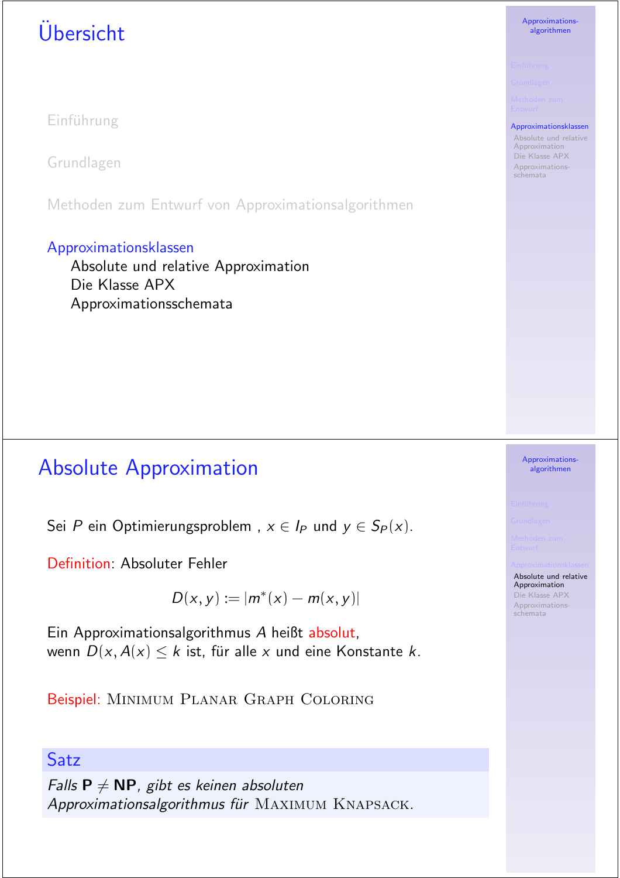# U¨bersicht

Einführung

Grundlagen

Methoden zum Entwurf von Approximationsalgorithmen

#### Approximationsklassen

Absolute und relative Approximation Die Klasse APX Approximationsschemata

## **Absolute Approximation**

Sei P ein Optimierungsproblem,  $x \in I_P$  und  $y \in S_P(x)$ .

Definition: Absoluter Fehler

 $D(x, y) := |m^*(x) - m(x, y)|$ 

Ein Approximationsalgorithmus A heißt absolut, wenn  $D(x, A(x) \le k$  ist, für alle x und eine Konstante k.

Beispiel: MINIMUM PLANAR GRAPH COLORING

### Satz

Falls  $P \neq NP$ , gibt es keinen absoluten Approximationsalgorithmus für MAXIMUM KNAPSACK. Approximationsalgorithmen

#### Approximationsklassen

Absolute und relative Approximation Die Klasse APX Approximationsschemata

#### Approximationsalgorithmen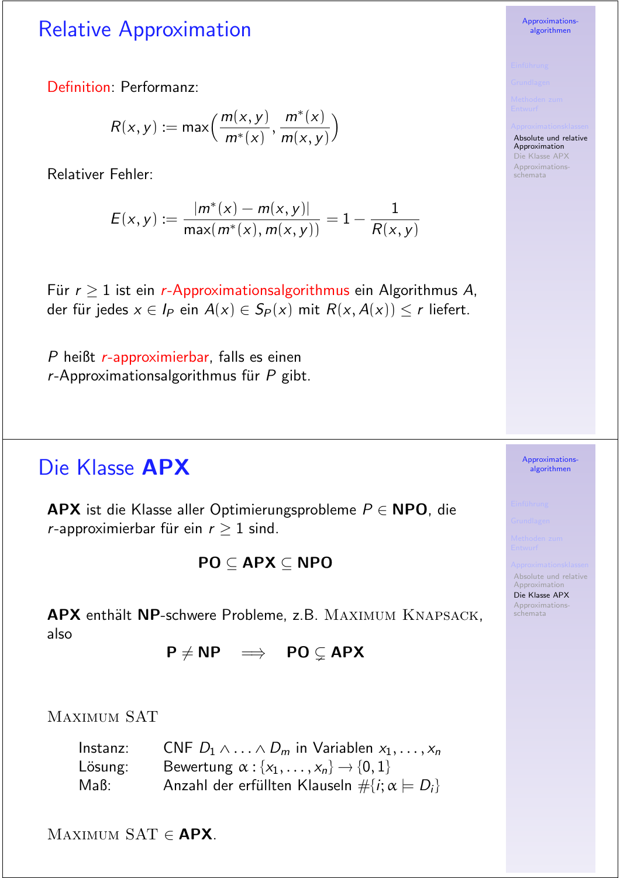## **Relative Approximation**

Definition: Performanz:

$$
R(x,y) := \max\left(\frac{m(x,y)}{m^*(x)}, \frac{m^*(x)}{m(x,y)}\right)
$$

**Relativer Fehler:** 

$$
E(x, y) := \frac{|m^*(x) - m(x, y)|}{\max(m^*(x), m(x, y))} = 1 - \frac{1}{R(x, y)}
$$

Für  $r > 1$  ist ein r-Approximationsalgorithmus ein Algorithmus A, der für jedes  $x \in I_P$  ein  $A(x) \in S_P(x)$  mit  $R(x, A(x)) \le r$  liefert.

 $P$  heißt  $r$ -approximierbar, falls es einen  $r$ -Approximationsalgorithmus für  $P$  gibt.

## Die Klasse APX

**APX** ist die Klasse aller Optimierungsprobleme  $P \in \mathbb{N}$ PO, die r-approximierbar für ein  $r \geq 1$  sind.

$$
\mathsf{PO}\subseteq\mathsf{APX}\subseteq\mathsf{NPO}
$$

APX enthält NP-schwere Probleme, z.B. MAXIMUM KNAPSACK, also

 $P \neq NP \implies PO \subsetneq APX$ 

**MAXIMUM SAT** 

| Instanz: | CNF $D_1 \wedge \ldots \wedge D_m$ in Variablen $x_1, \ldots, x_n$ |
|----------|--------------------------------------------------------------------|
| Lösung:  | Bewertung $\alpha : \{x_1, \ldots, x_n\} \rightarrow \{0, 1\}$     |
| Maß: I   | Anzahl der erfüllten Klauseln $\# \{i; \alpha \models D_i\}$       |

MAXIMUM SAT  $\in$  APX.

Approximationsalgorithmen

Absolute und relative

Approximation Die Klasse APX Approximationsschemata

> Approximationsalgorithmen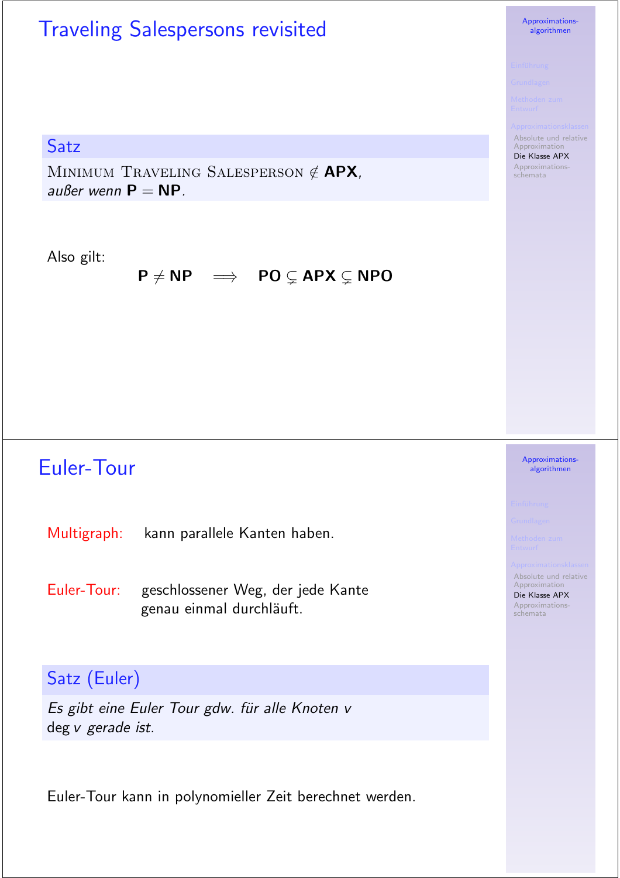# Traveling Salespersons revisited

#### **Satz**

MINIMUM TRAVELING SALESPERSON  $\notin$  APX, au $\beta$ er wenn  $P = NP$ .

#### Also gilt:

#### $P \neq NP \implies PO \subsetneq APX \subsetneq NPO$

## Euler-Tour

Multigraph: kann parallele Kanten haben.

Euler-Tour: geschlossener Weg, der jede Kante genau einmal durchläuft.

### Satz (Euler)

Es gibt eine Euler Tour gdw. für alle Knoten v deg v gerade ist.

Euler-Tour kann in polynomieller Zeit berechnet werden.

#### Approximationsalgorithmen

Absolute und relative Approximation

Die Klasse APX Approximationsschemata

#### Approximationsalgorithmen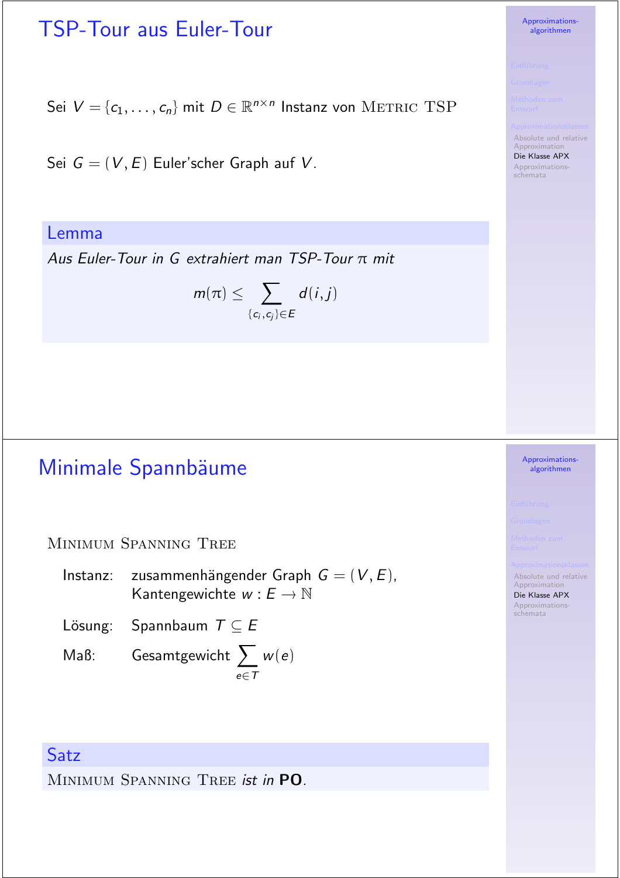## TSP-Tour aus Euler-Tour

Sei  $V = \{c_1, \ldots, c_n\}$  mit  $D \in \mathbb{R}^{n \times n}$  Instanz von METRIC TSP

Sei  $G = (V, E)$  Euler'scher Graph auf V.

Lemma

Aus Euler-Tour in G extrahiert man TSP-Tour  $\pi$  mit

$$
m(\pi) \leq \sum_{\{c_i,c_j\} \in E} d(i,j)
$$

## Minimale Spannbäume

MINIMUM SPANNING TREE

Instanz: zusammenhängender Graph  $G = (V, E)$ , Kantengewichte  $w : E \to \mathbb{N}$ 

Lösung: Spannbaum  $T \subseteq E$ 

Maß: Gesamtgewicht  $\sum w(e)$ e∈T

#### **Satz**

MINIMUM SPANNING TREE ist in PO.

#### Approximationsalgorithmen

Approximationsalgorithmen

Absolute und relative Approximation Die Klasse APX Approximationsschemata

schemata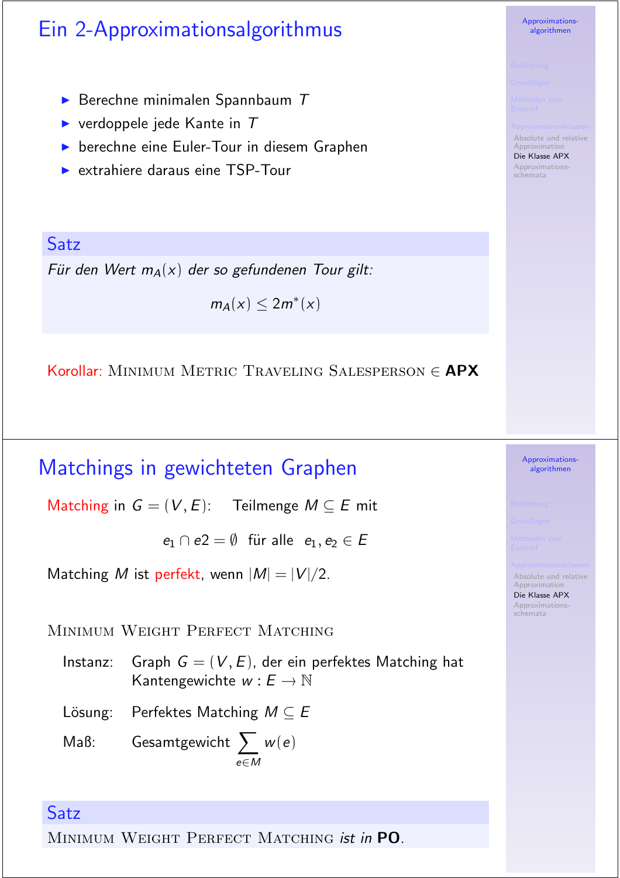# Ein 2-Approximationsalgorithmus

- Berechne minimalen Spannbaum  $T$
- verdoppele jede Kante in  $T$
- berechne eine Euler-Tour in diesem Graphen
- Extrahiere daraus eine TSP-Tour

Satz Für den Wert  $m_A(x)$  der so gefundenen Tour gilt:

 $m_A(x) \leq 2m^*(x)$ 

Korollar: MINIMUM METRIC TRAVELING SALESPERSON  $\in$  APX

### Matchings in gewichteten Graphen

Matching in  $G = (V, E)$ : Teilmenge  $M \subseteq E$  mit

 $e_1 \cap e_2 = \emptyset$  für alle  $e_1, e_2 \in E$ 

Matching M ist perfekt, wenn  $|M| = |V|/2$ .

MINIMUM WEIGHT PERFECT MATCHING

Graph  $G = (V, E)$ , der ein perfektes Matching hat Instanz: Kantengewichte  $w : E \to \mathbb{N}$ 

Lösung: Perfektes Matching  $M \subseteq E$ 

Gesamtgewicht  $\sum w(e)$  $MaB$ :

#### Satz

MINIMUM WEIGHT PERFECT MATCHING ist in PO.



Absolute und relative Approximation

Die Klasse APX Approximationsschemata

> Approximationsalgorithmen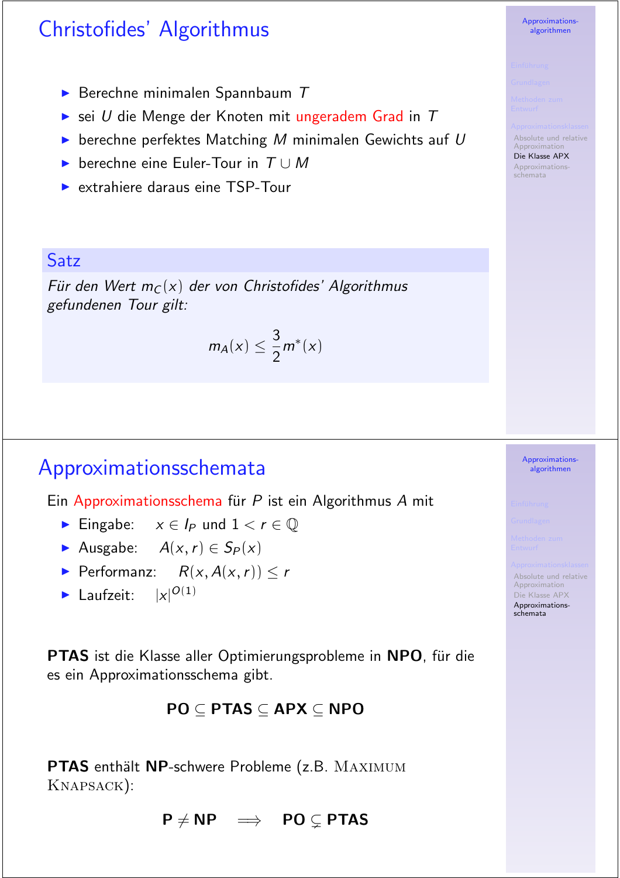## Christofides' Algorithmus

- Berechne minimalen Spannbaum  $T$
- Sei U die Menge der Knoten mit ungeradem Grad in  $T$
- $\triangleright$  berechne perfektes Matching M minimalen Gewichts auf U
- berechne eine Euler-Tour in  $T \cup M$
- Extrahiere daraus eine TSP-Tour

#### Satz

Für den Wert  $m<sub>C</sub>(x)$  der von Christofides' Algorithmus gefundenen Tour gilt:

$$
m_A(x) \leq \frac{3}{2}m^*(x)
$$

### Approximationsschemata

Ein Approximationsschema für P ist ein Algorithmus A mit

- Eingabe:  $x \in I_P$  und  $1 < r \in \mathbb{Q}$
- Ausgabe:  $A(x, r) \in S_P(x)$
- Performanz:  $R(x, A(x, r)) \leq r$
- laufzeit:  $|x|^{O(1)}$

**PTAS** ist die Klasse aller Optimierungsprobleme in NPO, für die es ein Approximationsschema gibt.

#### $PO \subset PTAS \subset APX \subset NPO$

PTAS enthält NP-schwere Probleme (z.B. MAXIMUM KNAPSACK):

 $P \neq NP \implies PO \subset P \text{TAS}$ 

Approximationsalgorithmen

Absolute und relative Approximation Die Klasse APX Approximationsschemata



Absolute und relative

Approximation Die Klasse APX Approximationsschemata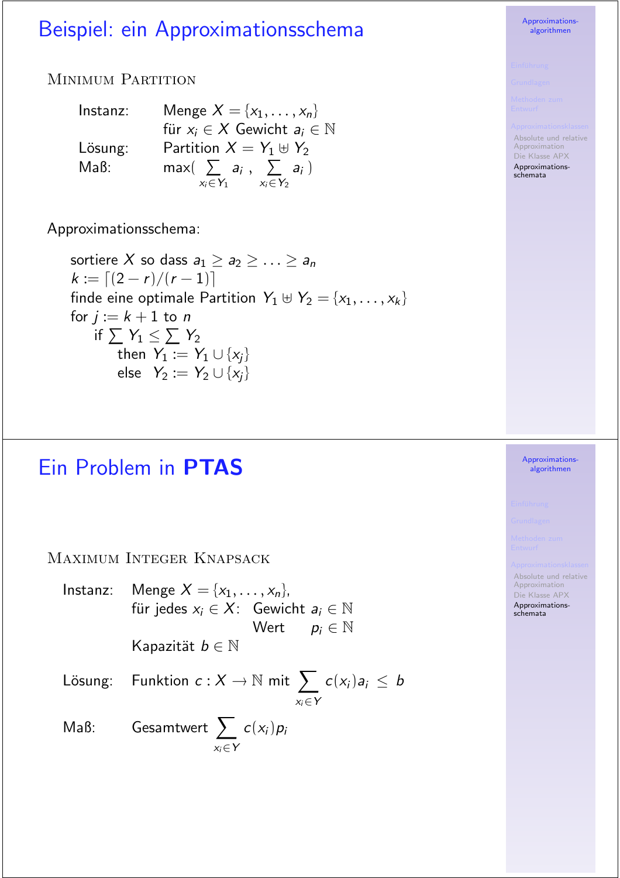## Beispiel: ein Approximationsschema

#### MINIMUM PARTITION

| Instanz: | Menge $X = \{x_1, \ldots, x_n\}$             |
|----------|----------------------------------------------|
|          | für $x_i \in X$ Gewicht $a_i \in \mathbb{N}$ |
| Lösung:  | Partition $X = Y_1 \oplus Y_2$               |
| MaB:     | $max($ $\sum a_i$ , $\sum a_i$ )             |
|          | $x_i \in Y_1$ $x_i \overline{\in} Y_2$       |

Approximationsschema:

sortiere X so dass  $a_1 \ge a_2 \ge \ldots \ge a_n$  $k := [(2 - r)/(r - 1)]$ finde eine optimale Partition  $Y_1 \uplus Y_2 = \{x_1, \ldots, x_k\}$ for  $j := k + 1$  to n if  $\sum Y_1 \leq \sum Y_2$ then  $Y_1 := Y_1 \cup \{x_i\}$ else  $Y_2 := Y_2 \cup \{x_i\}$ 

## Ein Problem in PTAS

MAXIMUM INTEGER KNAPSACK

Menge  $X = \{x_1, ..., x_n\},\$ Instanz: für jedes  $x_i \in X$ : Gewicht  $a_i \in \mathbb{N}$ Wert  $p_i \in \mathbb{N}$ Kapazität  $b \in \mathbb{N}$ 

Funktion  $c: X \to \mathbb{N}$  mit  $\sum_{x_i \in Y} c(x_i) a_i \leq b$ Lösung:

Gesamtwert  $\sum_{x_i \in Y} c(x_i) p_i$  $MaB$ :

Approximationsalgorithmen

Absolute und relative Approximation Die Klasse APX Approximationsschemata

#### Approximationsalgorithmen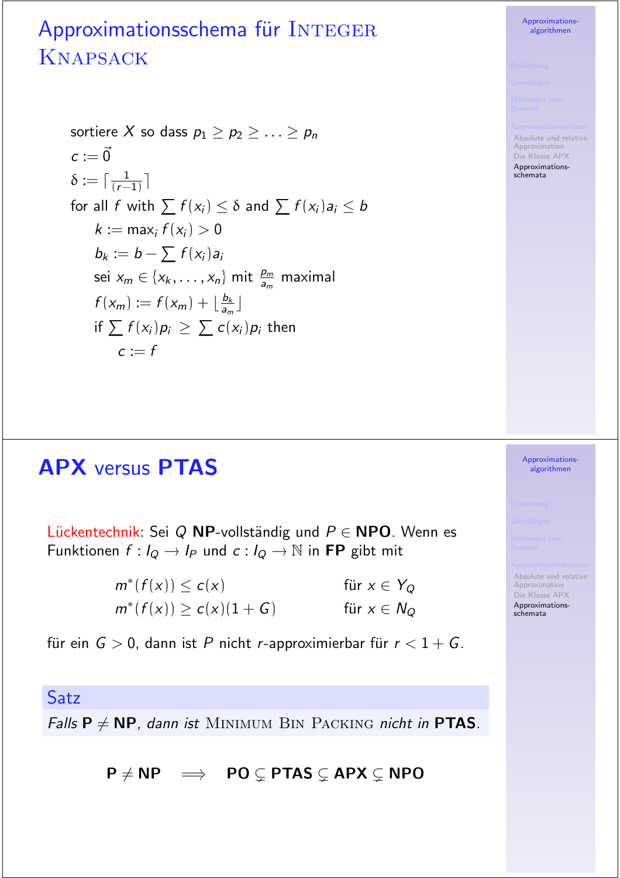# Approximationsschema für INTEGER **KNAPSACK**

sortiere X so dass  $p_1 > p_2 > ... > p_n$  $c := \vec{0}$  $\delta := \lceil \frac{1}{(r-1)} \rceil$ for all f with  $\sum f(x_i) \leq \delta$  and  $\sum f(x_i)a_i \leq b$  $k := \max_i f(x_i) > 0$  $b_k := b - \sum f(x_i) a_i$ sei  $x_m \in \{x_k, \ldots, x_n\}$  mit  $\frac{p_m}{q_m}$  maximal  $f(x_m) := f(x_m) + \lfloor \frac{b_k}{a_m} \rfloor$ if  $\sum f(x_i)p_i \geq \sum c(x_i)p_i$  then  $c = f$ 

## **APX versus PTAS**

Lückentechnik: Sei Q NP-vollständig und  $P \in \textbf{NPO}$ . Wenn es Funktionen  $f: I_Q \to I_P$  und  $c: I_Q \to \mathbb{N}$  in FP gibt mit

> $m^*(f(x)) \leq c(x)$ für  $x \in Y_Q$  $m^*(f(x)) \ge c(x)(1+G)$ für  $x \in N_Q$

für ein  $G > 0$ , dann ist P nicht r-approximierbar für  $r < 1 + G$ .

#### Satz

Falls  $P \neq NP$ , dann ist MINIMUM BIN PACKING nicht in PTAS.

 $P \neq NP \implies PO \subseteq PTAS \subseteq APX \subseteq NPO$ 

**Approximations** algorithmen

Absolute und relative Approximation Die Klasse APX Approximationsschemata

> Approximationsalgorithmen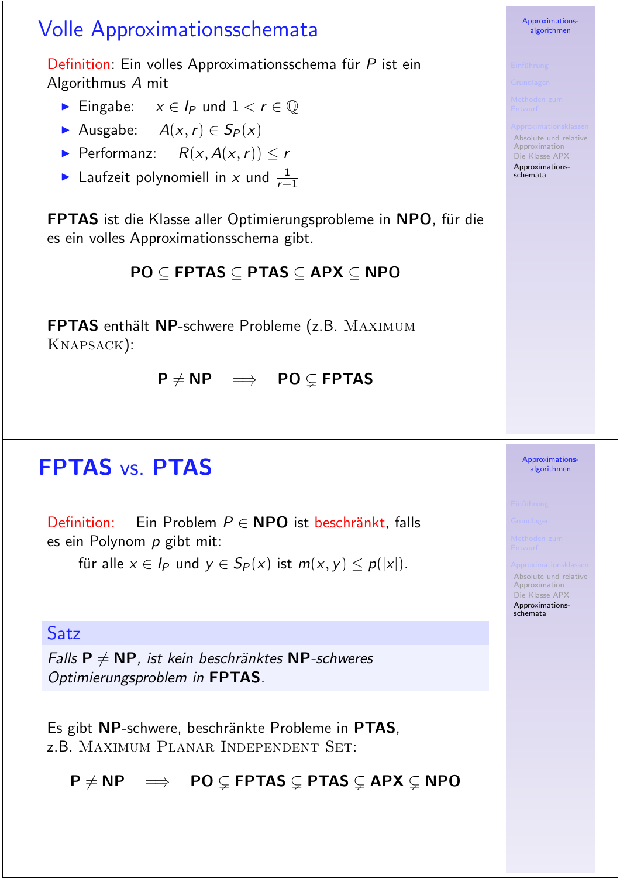## Volle Approximationsschemata

Definition: Ein volles Approximationsschema für  $P$  ist ein Algorithmus A mit

- Eingabe:  $x \in I_P$  und  $1 < r \in \mathbb{Q}$
- Ausgabe:  $A(x, r) \in S_P(x)$
- Performanz:  $R(x, A(x, r)) < r$
- laufzeit polynomiell in x und  $\frac{1}{r-1}$ r−1

FPTAS ist die Klasse aller Optimierungsprobleme in NPO, für die es ein volles Approximationsschema gibt.

### $PO \subseteq FPTAS \subseteq PTAS \subseteq APX \subseteq NPO$

FPTAS enthält NP-schwere Probleme (z.B. MAXIMUM KNAPSACK):

 $P \neq NP \implies PO \subseteq FPTAS$ 

## **FPTAS vs. PTAS**

Definition: Ein Problem  $P \in \textbf{NPO}$  ist beschränkt, falls es ein Polynom  $p$  gibt mit:

für alle  $x \in I_P$  und  $y \in S_P(x)$  ist  $m(x, y) \leq p(|x|)$ .

#### **Satz**

Falls  $P \neq NP$ , ist kein beschränktes NP-schweres Optimierungsproblem in FPTAS.

Es gibt NP-schwere, beschränkte Probleme in PTAS, **z.B. MAXIMUM PLANAR INDEPENDENT SET:** 

 $P \neq NP \implies PO \subseteq FPTAS \subseteq PTAS \subseteq APX \subseteq NPO$ 

algorithmen

Approximations-

Absolute und relative Approximation Die Klasse APX Approximationsschemata

> Approximationsalgorithmen